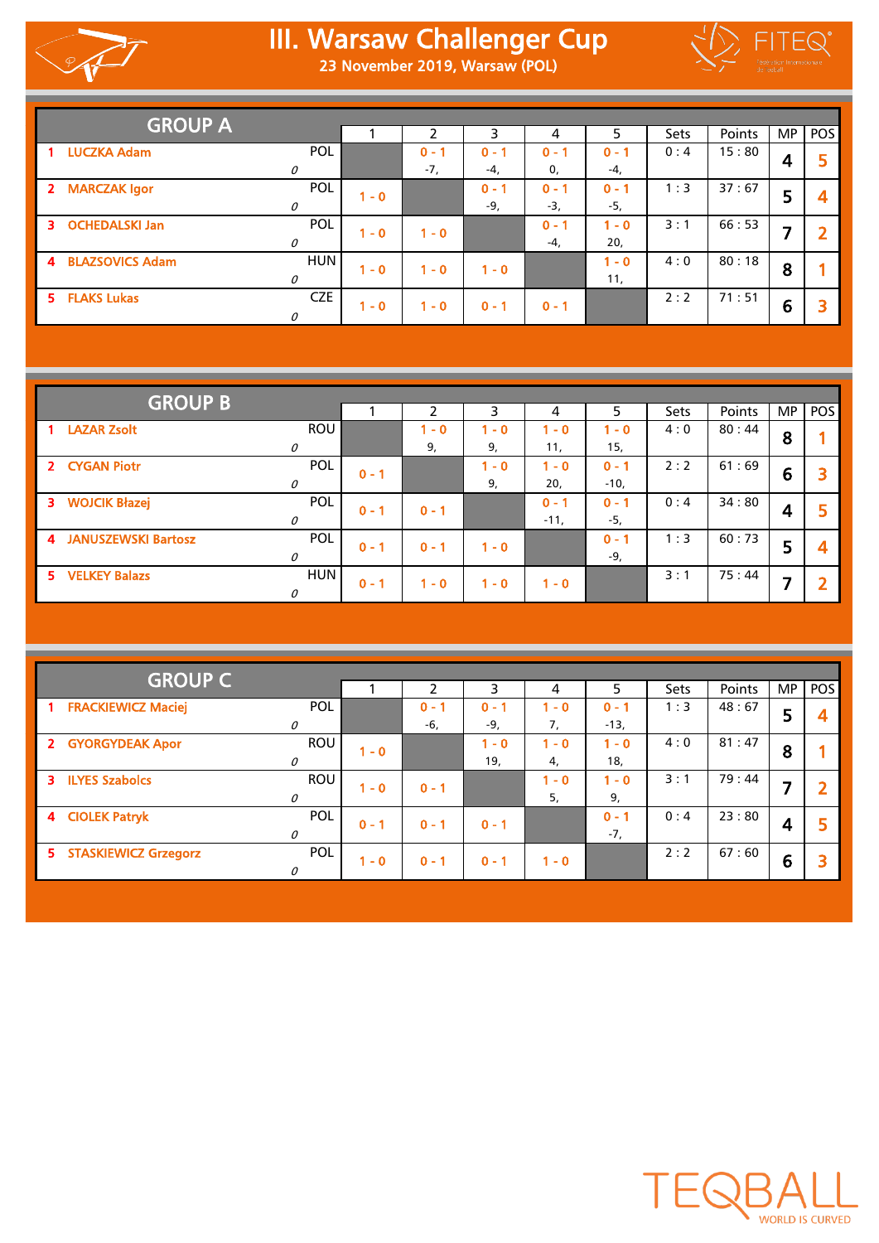

## III. Warsaw Challenger Cup 23 November 2019, Warsaw (POL)



| <b>GROUP A</b>       |            |                              |         |         |         |         |             |        |           |     |
|----------------------|------------|------------------------------|---------|---------|---------|---------|-------------|--------|-----------|-----|
|                      |            |                              | ∍       | 3       | 4       | 5       | <b>Sets</b> | Points | <b>MP</b> | POS |
| <b>LUCZKA Adam</b>   | POL        |                              | $0 - 1$ | $0 - 1$ | $0 - 1$ | $0 - 1$ | 0:4         | 15:80  |           |     |
|                      | 0          |                              | $-7.$   | $-4,$   | 0,      | $-4,$   |             |        | 4         |     |
| 2 MARCZAK Igor       | POL        | $\overline{\phantom{0}}$ - 0 |         | $0 - 1$ | $0 - 1$ | $0 - 1$ | 1:3         | 37:67  | 5         |     |
|                      | 0          |                              |         | -9,     | $-3,$   | -5,     |             |        |           |     |
| 3 OCHEDALSKI Jan     | POL        | $-0$                         | $1 - 0$ |         | $0 - 1$ | $1 - 0$ | 3:1         | 66:53  | ⇁         |     |
|                      | 0          |                              |         |         | $-4,$   | 20,     |             |        |           |     |
| 4 BLAZSOVICS Adam    | <b>HUN</b> | $\overline{0}$               | $1 - 0$ | $1 - 0$ |         | $1 - 0$ | 4:0         | 80:18  | 8         |     |
|                      | $\theta$   |                              |         |         |         | 11,     |             |        |           |     |
| <b>5 FLAKS Lukas</b> | <b>CZE</b> | $1 - 0$                      | $1 - 0$ | $0 - 1$ | $0 - 1$ |         | 2:2         | 71:51  | 6         |     |
|                      | 0          |                              |         |         |         |         |             |        |           |     |

| <b>GROUP B</b>        |               |         |         |         |         |         |             |        |     |     |
|-----------------------|---------------|---------|---------|---------|---------|---------|-------------|--------|-----|-----|
|                       |               |         |         | 3       | 4       | 5       | <b>Sets</b> | Points | MP. | POS |
| 1 LAZAR Zsolt         | <b>ROU</b>    |         | $-0$    | $1 - 0$ | $1 - 0$ | $1 - 0$ | 4:0         | 80:44  | 8   |     |
|                       | 0             |         | 9,      | 9,      | 11,     | 15,     |             |        |     |     |
| 2 CYGAN Piotr         | POL           | $0 - 1$ |         | $1 - 0$ | $1 - 0$ | $0 - 1$ | 2:2         | 61:69  | 6   |     |
|                       | 0             |         |         | 9,      | 20,     | $-10,$  |             |        |     |     |
| 3 WOJCIK Błazej       | POL           | $0 - 1$ | $0 - 1$ |         | $0 - 1$ | $0 - 1$ | 0:4         | 34:80  | 4   |     |
|                       | $\mathcal O$  |         |         |         | $-11,$  | $-5,$   |             |        |     |     |
| 4 JANUSZEWSKI Bartosz | POL           | $0 - 1$ | $0 - 1$ | $1 - 0$ |         | $0 - 1$ | 1:3         | 60:73  | 5   |     |
|                       | $\mathcal{O}$ |         |         |         |         | -9,     |             |        |     |     |
| 5 VELKEY Balazs       | <b>HUN</b>    | $0 - 1$ | $1 - 0$ | $1 - 0$ | $1 - 0$ |         | 3:1         | 75:44  | ⇁   |     |
|                       | $\mathcal{O}$ |         |         |         |         |         |             |        |     |     |

| <b>GROUP C</b>                                   |            |         |         |         |         |         |      |        |           |                         |
|--------------------------------------------------|------------|---------|---------|---------|---------|---------|------|--------|-----------|-------------------------|
|                                                  |            |         | า       | 3       | 4       | 5       | Sets | Points | <b>MP</b> | POS                     |
| <b>FRACKIEWICZ Maciej</b><br>$\blacksquare$      | POL        |         | $0 - 1$ | $0 - 1$ | $1 - 0$ | $0 - 1$ | 1:3  | 48:67  | 5         | $\overline{\mathbf{4}}$ |
| 0                                                |            |         | -6,     | $-9,$   | 7,      | $-13,$  |      |        |           |                         |
| 2 GYORGYDEAK Apor                                | <b>ROU</b> | $1 - 0$ |         | $1 - 0$ | $1 - 0$ | $1 - 0$ | 4:0  | 81:47  | 8         |                         |
| 0                                                |            |         |         | 19,     | 4,      | 18,     |      |        |           |                         |
| <b>ILYES Szabolcs</b><br>$\overline{\mathbf{3}}$ | <b>ROU</b> | $1 - 0$ | $0 - 1$ |         | $1 - 0$ | $1 - 0$ | 3:1  | 79:44  |           | $\overline{\mathbf{2}}$ |
| 0                                                |            |         |         |         | 5,      | 9,      |      |        |           |                         |
| 4 CIOLEK Patryk                                  | POL        | $0 - 1$ | $0 - 1$ | $0 - 1$ |         | $0 - 1$ | 0:4  | 23:80  |           | 5                       |
| 0                                                |            |         |         |         |         | $-7,$   |      |        | 4         |                         |
| 5 STASKIEWICZ Grzegorz                           | POL        |         |         |         |         |         | 2:2  | 67:60  |           | 3                       |
| 0                                                |            | $1 - 0$ | $0 - 1$ | $0 - 1$ | $1 - 0$ |         |      |        | 6         |                         |

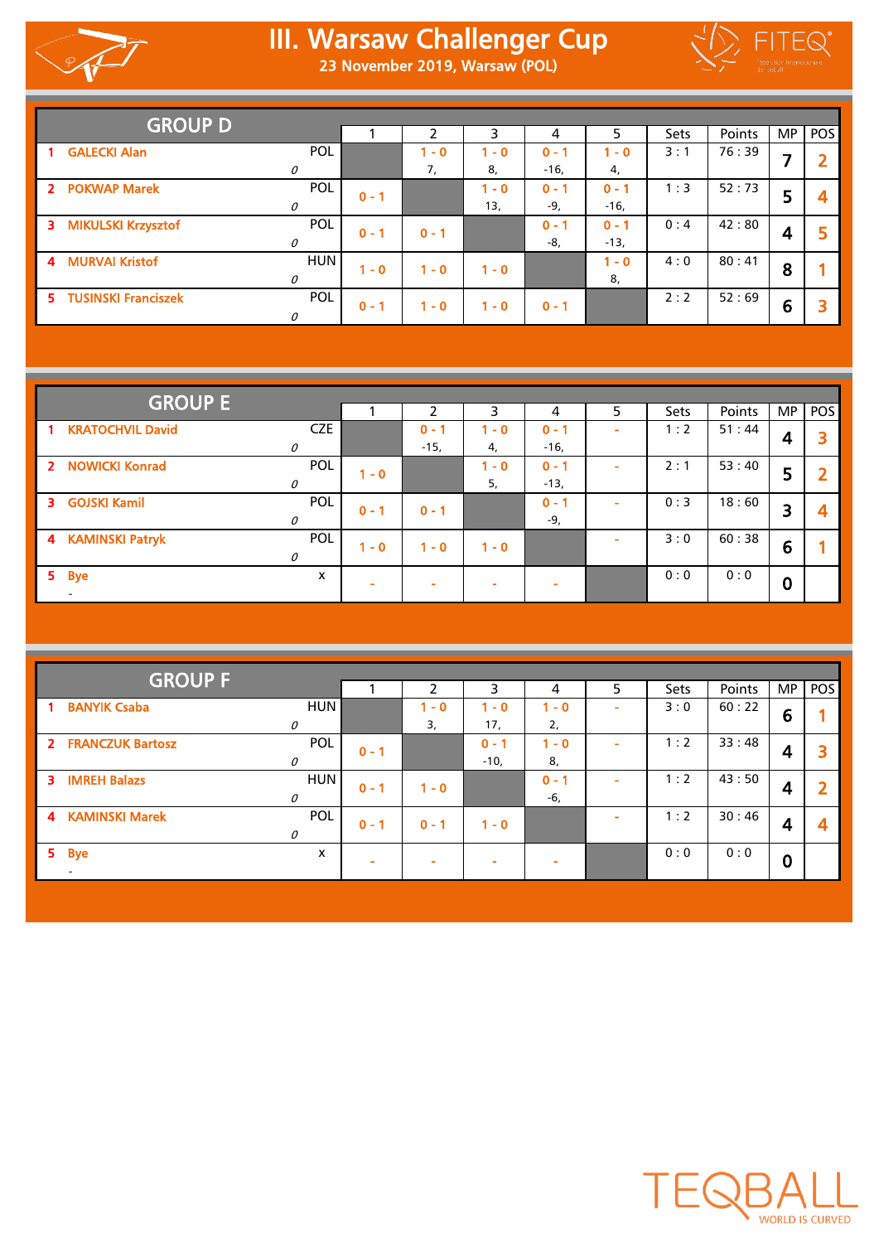

## III. Warsaw Challenger Cup 23 November 2019, Warsaw (POL)



|                  | <b>GROUP D</b>        |              |         |         |         |         |         |             |        |           |     |
|------------------|-----------------------|--------------|---------|---------|---------|---------|---------|-------------|--------|-----------|-----|
|                  |                       |              |         | ∍       | 3       | 4       | 5.      | <b>Sets</b> | Points | <b>MP</b> | POS |
|                  | <b>GALECKI Alan</b>   | POL          |         | $-0$    | $1 - 0$ | $0 - 1$ | $1 - 0$ | 3:1         | 76:39  | ⇁         |     |
|                  |                       | 0            |         | 7,      | 8,      | $-16,$  | 4,      |             |        |           |     |
|                  | 2 POKWAP Marek        | POL          | $0 - 1$ |         | $1 - 0$ | $0 - 1$ | $0 - 1$ | 1:3         | 52:73  | 5         |     |
|                  |                       | $\mathcal O$ |         |         | 13,     | -9,     | $-16,$  |             |        |           |     |
|                  | 3 MIKULSKI Krzysztof  | POL          | $0 - 1$ | $0 - 1$ |         | $0 - 1$ | $0 - 1$ | 0:4         | 42:80  | 4         |     |
|                  |                       | 0            |         |         |         | -8,     | $-13,$  |             |        |           |     |
| $\blacktriangle$ | <b>MURVAI Kristof</b> | <b>HUN</b>   | $-0$    | $1 - 0$ | $1 - 0$ |         | $1 - 0$ | 4:0         | 80:41  | 8         |     |
|                  |                       | $\mathcal O$ |         |         |         |         | 8,      |             |        |           |     |
|                  | 5 TUSINSKI Franciszek | POL          | $0 - 1$ | $1 - 0$ | $1 - 0$ | $0 - 1$ |         | 2:2         | 52:69  | 6         |     |
|                  |                       | 0            |         |         |         |         |         |             |        |           |     |

|                | <b>GROUP E</b>           |               |                          |         |         |         |   |      |        |          |            |
|----------------|--------------------------|---------------|--------------------------|---------|---------|---------|---|------|--------|----------|------------|
|                |                          |               |                          |         | 3       | 4       | 5 | Sets | Points | MP.      | <b>POS</b> |
|                | 1 KRATOCHVIL David       | <b>CZE</b>    |                          | $0 - 1$ | $1 - 0$ | $0 - 1$ |   | 1:2  | 51:44  |          |            |
|                |                          | 0             |                          | $-15,$  | 4,      | $-16,$  |   |      |        | 4        |            |
|                | 2 NOWICKI Konrad         | POL           | $1 - 0$                  |         | $1 - 0$ | $0 - 1$ |   | 2:1  | 53:40  | 5        |            |
|                |                          | $\Omega$      |                          |         | 5,      | $-13,$  |   |      |        |          |            |
|                | 3 GOJSKI Kamil           | POL           | $0 - 1$                  | $0 - 1$ |         | $0 - 1$ |   | 0:3  | 18:60  | 3        |            |
|                |                          | $\mathcal{O}$ |                          |         |         | -9,     |   |      |        |          | 4          |
|                | 4 KAMINSKI Patryk        | POL           | $1 - 0$                  | $1 - 0$ | $1 - 0$ |         |   | 3:0  | 60:38  | 6        |            |
|                |                          | $\mathcal{O}$ |                          |         |         |         |   |      |        |          |            |
| 5 <sub>1</sub> | <b>Bye</b>               | x             |                          |         |         |         |   | 0:0  | 0:0    | $\bf{0}$ |            |
|                | $\overline{\phantom{a}}$ |               | $\overline{\phantom{a}}$ |         |         |         |   |      |        |          |            |

| <b>GROUP F</b>                                |              |         |         |         |         |                          |      |        |                  |                |
|-----------------------------------------------|--------------|---------|---------|---------|---------|--------------------------|------|--------|------------------|----------------|
|                                               |              |         | 2       | 3       | 4       | 5                        | Sets | Points | <b>MP</b>        | pos            |
| <b>BANYIK Csaba</b><br>$\mathbf{1}$           | <b>HUN</b>   |         | $1 - 0$ | $1 - 0$ | $-0$    | $\overline{\phantom{a}}$ | 3:0  | 60:22  | 6                |                |
|                                               | 0            |         | 3,      | 17,     | 2,      |                          |      |        |                  |                |
| 2 FRANCZUK Bartosz                            | POL          | $0 - 1$ |         | $0 - 1$ | $-0$    | $\sim$                   | 1:2  | 33:48  |                  | 3              |
|                                               | $\mathcal O$ |         |         | $-10,$  | 8,      |                          |      |        | 4                |                |
| <b>IMREH Balazs</b><br>3                      | <b>HUN</b>   | $0 - 1$ | $1 - 0$ |         | $0 - 1$ | ۰                        | 1:2  | 43:50  | 4                | $\overline{2}$ |
|                                               | 0            |         |         |         | -6,     |                          |      |        |                  |                |
| <b>KAMINSKI Marek</b><br>$\blacktriangleleft$ | POL          | $0 - 1$ | $0 - 1$ | $1 - 0$ |         | ۰                        | 1:2  | 30:46  | 4                | 4              |
|                                               | $\mathcal O$ |         |         |         |         |                          |      |        |                  |                |
| 5.<br><b>Bye</b>                              | X            |         |         |         |         |                          | 0:0  | 0:0    |                  |                |
| $\overline{\phantom{0}}$                      |              |         |         |         |         |                          |      |        | $\boldsymbol{0}$ |                |
|                                               |              |         |         |         |         |                          |      |        |                  |                |

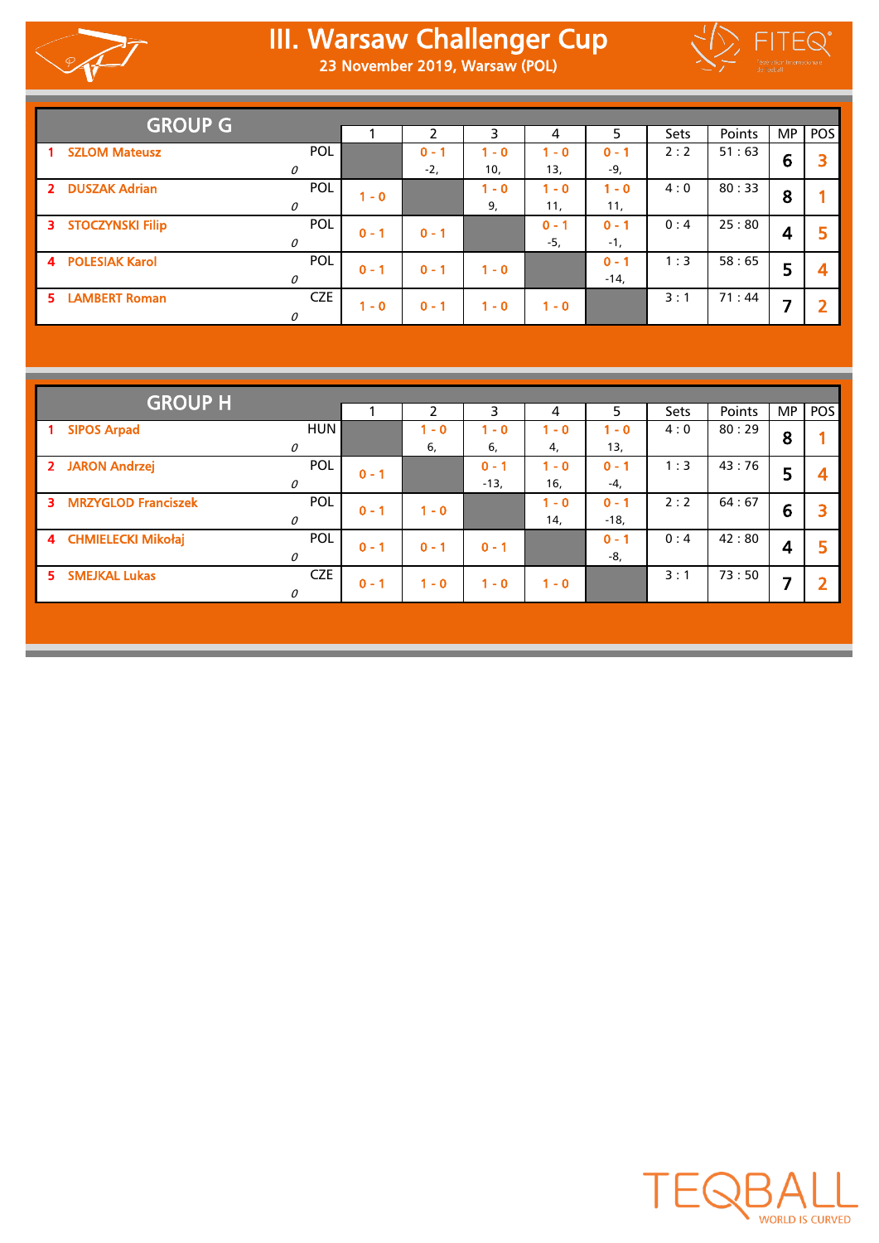

## III. Warsaw Challenger Cup 23 November 2019, Warsaw (POL)



|                | <b>GROUP G</b>          |            |         |         |         |         |         |             |        |           |     |
|----------------|-------------------------|------------|---------|---------|---------|---------|---------|-------------|--------|-----------|-----|
|                |                         |            |         |         | 3       | 4       | 5       | <b>Sets</b> | Points | <b>MP</b> | POS |
|                | <b>SZLOM Mateusz</b>    | POL        |         | $0 - 1$ | $1 - 0$ | $1 - 0$ | $0 - 1$ | 2:2         | 51:63  | 6         |     |
|                |                         | 0          |         | $-2,$   | 10,     | 13,     | -9,     |             |        |           |     |
| 2 <sup>1</sup> | <b>DUSZAK Adrian</b>    | POL        | $1 - 0$ |         | $1 - 0$ | $1 - 0$ | $1 - 0$ | 4:0         | 80:33  | 8         |     |
|                |                         | 0          |         |         | 9,      | 11,     | 11,     |             |        |           |     |
|                | 3 STOCZYNSKI Filip      | POL        | $0 - 1$ | $0 - 1$ |         | $0 - 1$ | $0 - 1$ | 0:4         | 25:80  | 4         |     |
|                |                         | 0          |         |         |         | $-5,$   | $-1.$   |             |        |           |     |
|                | <b>4 POLESIAK Karol</b> | POL        | $0 - 1$ | $0 - 1$ | $1 - 0$ |         | $0 - 1$ | 1:3         | 58:65  | 5         |     |
|                |                         | 0          |         |         |         |         | $-14,$  |             |        |           |     |
| 5.             | <b>LAMBERT Roman</b>    | <b>CZE</b> | $1 - 0$ | $0 - 1$ | $1 - 0$ | $1 - 0$ |         | 3:1         | 71:44  | ⇁         |     |
|                |                         | 0          |         |         |         |         |         |             |        |           |     |

|                                      | <b>GROUP H</b> |         |               |         |         |                    |             |               |           |                |  |  |  |
|--------------------------------------|----------------|---------|---------------|---------|---------|--------------------|-------------|---------------|-----------|----------------|--|--|--|
|                                      |                |         | $\mathcal{P}$ | 3       | 4       | 5.                 | <b>Sets</b> | <b>Points</b> | <b>MP</b> | <b>POS</b>     |  |  |  |
| <b>SIPOS Arpad</b><br>$\overline{1}$ | <b>HUN</b>     |         | $1 - 0$       | $-0$    | $-0$    | $1 - 0$            | 4:0         | 80:29         | 8         |                |  |  |  |
|                                      | 0              |         | 6,            | 6,      | 4,      | 13,                |             |               |           |                |  |  |  |
| 2 JARON Andrzej                      | <b>POL</b>     | $0 - 1$ |               | $0 - 1$ | $-0$    | $0 - 1$            | 1:3         | 43:76         | 5         | 4              |  |  |  |
|                                      | $\mathcal{O}$  |         |               | $-13,$  | 16,     | -4,                |             |               |           |                |  |  |  |
| <b>MRZYGLOD Franciszek</b><br>3.     | <b>POL</b>     | $0 - 1$ | $1 - 0$       |         | $-0$    | $0 -$ <sup>2</sup> | 2:2         | 64:67         | 6         | 3              |  |  |  |
|                                      | 0              |         |               |         | 14,     | $-18,$             |             |               |           |                |  |  |  |
| 4 CHMIELECKI Mikołaj                 | <b>POL</b>     | $0 - 1$ | $0 - 1$       | $0 - 1$ |         | $0 - 1$            | 0:4         | 42:80         | 4         | 5              |  |  |  |
|                                      | 0              |         |               |         |         | -8,                |             |               |           |                |  |  |  |
| 5.<br><b>SMEJKAL Lukas</b>           | <b>CZE</b>     | $0 - 1$ | $1 - 0$       | $-0$    | $1 - 0$ |                    | 3:1         | 73:50         |           | $\overline{2}$ |  |  |  |
|                                      | 0              |         |               |         |         |                    |             |               |           |                |  |  |  |